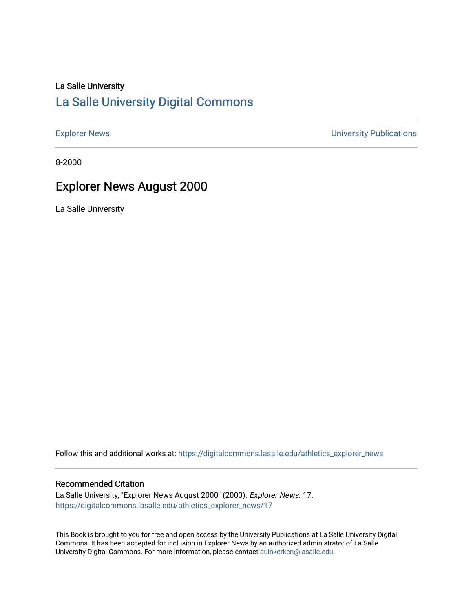# La Salle University

## [La Salle University Digital Commons](https://digitalcommons.lasalle.edu/)

[Explorer News](https://digitalcommons.lasalle.edu/athletics_explorer_news) **Explorer News** 2001 12:00 12:00 12:00 12:00 12:00 12:00 12:00 12:00 12:00 12:00 12:00 12:00 12:00 12:00 12:00 12:00 12:00 12:00 12:00 12:00 12:00 12:00 12:00 12:00 12:00 12:00 12:00 12:00 12:00 12:00 12:00 1

8-2000

# Explorer News August 2000

La Salle University

Follow this and additional works at: [https://digitalcommons.lasalle.edu/athletics\\_explorer\\_news](https://digitalcommons.lasalle.edu/athletics_explorer_news?utm_source=digitalcommons.lasalle.edu%2Fathletics_explorer_news%2F17&utm_medium=PDF&utm_campaign=PDFCoverPages)

### Recommended Citation

La Salle University, "Explorer News August 2000" (2000). Explorer News. 17. [https://digitalcommons.lasalle.edu/athletics\\_explorer\\_news/17](https://digitalcommons.lasalle.edu/athletics_explorer_news/17?utm_source=digitalcommons.lasalle.edu%2Fathletics_explorer_news%2F17&utm_medium=PDF&utm_campaign=PDFCoverPages) 

This Book is brought to you for free and open access by the University Publications at La Salle University Digital Commons. It has been accepted for inclusion in Explorer News by an authorized administrator of La Salle University Digital Commons. For more information, please contact [duinkerken@lasalle.edu](mailto:duinkerken@lasalle.edu).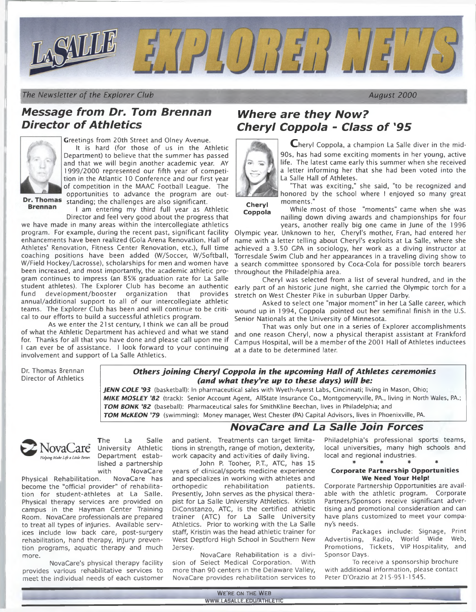

*The Newsletter of the Explorer Club August 2000*

## *M essage from Dr. Tom Brennan* **Director of Athletics**



Greetings from 20th Street and Olney Avenue. It is hard (for those of us in the Athletic Department) to believe that the summer has passed and that we will begin another academic year. AY 1999/2000 represented our fifth year of competition in the Atlantic 10 Conference and our first year of competition in the MAAC Football League. The opportunities to advance the program are out-

**Brennan** 

Dr. Thomas standing; the challenges are also significant. I am entering my third full year as Athletic

Director and feel very good about the progress that we have made in many areas within the intercollegiate athletics program. For example, during the recent past, significant facility enhancements have been realized (Cola Arena Renovation, Hall of Athletes' Renovation, Fitness Center Renovation, etc.), full time coaching positions have been added (W/Soccer, W/Softball, W/Field Hockey/Lacrosse), scholarships for men and women have been increased, and most importantly, the academic athletic program continues to impress (an 85% graduation rate for La Salle student athletes). The Explorer Club has become an authentic fund development/booster organization that provides annual/additional support to all of our intercollegiate athletic teams. The Explorer Club has been and will continue to be critical to our efforts to build a successful athletics program.

As we enter the 21 st century, I think we can all be proud of what the Athletic Department has achieved and what we stand for. Thanks for all that you have done and please call upon me if I can ever be of assistance. I look forward to your continuing involvement and support of La Salle Athletics.

# *Where are they Now? Coppola* - *Class o f '95 Cheryl*



Cheryl Coppola, a champion La Salle diver in the mid-90s, has had some exciting moments in her young, active life. The latest came early this summer when she received a letter informing her that she had been voted into the La Salle Hall of Athletes.

"That was exciting," she said, "to be recognized and honored by the school where I enjoyed so many great moments."

**Cheryl Coppola**

While most of those "moments" came when she was nailing down diving awards and championships for four years, another really big one came in June of the 1996

Olympic year. Unknown to her, Cheryl's mother, Fran, had entered her name with a letter telling about Cheryl's exploits at La Salle, where she achieved a 3.50 CPA in sociology, her work as a diving instructor at Torresdale Swim Club and her appearances in a traveling diving show to a search committee sponsored by Coca-Cola for possible torch bearers throughout the Philadelphia area.

Cheryl was selected from a list of several hundred, and in the early part of an historic June night, she carried the Olympic torch for a stretch on West Chester Pike in suburban Upper Darby.

Asked to select one "major moment" in her La Salle career, which wound up in 1994, Coppola pointed out her semifinal finish in the U.S. Senior Nationals at the University of Minnesota.

That was only but one in a series of Explorer accomplishments and one reason Cheryl, now a physical therapist assistant at Frankford Campus Hospital, will be a member of the 2001 Hall of Athletes inductees at a date to be determined later.

*NovaCare and La Salle Join Forces*

Dr. Thomas Brennan Director of Athletics

#### *Others joining Cheryl Coppola in the upcoming Hall of Athletes ceremonies (and what they're up to these days) will be:*

*JENN COLE '93* (basketball): In pharmaceutical sales with Wyeth-Ayerst Labs, Cincinnati; living in Mason, Ohio; *MIKE MOSLEY '82* (track): Senior Account Agent, Allstate Insurance Co., Montgomeryville, PA., living in North Wales, PA.; *TOM BONK '82* (baseball): Pharmaceutical sales for SmithKline Beechan, lives in Philadelphia; and

*TOM McKEON '79* (swimming): Money manager, West Chester (PA) Capital Advisors, lives in Phoenixville, PA.



The La Salle<br>NovaCare University Athletic<br>Bepartment established a partnership

with NovaCare<br>n. NovaCare has Physical Rehabilitation. become the "official provider" of rehabilitation for student-athletes at La Salle. Physical therapy services are provided on campus in the Hayman Center Training Room. NovaCare professionals are prepared to treat all types of injuries. Available services include low back care, post-surgery rehabilitation, hand therapy, injury prevention programs, aquatic therapy and much more.

NovaCare's physical therapy facility provides various rehabilitative services to meet the individual needs of each customer

and patient. Treatments can target limitations in strength, range of motion, dexterity, work capacity and activities of daily living.

John P. Tooher, P.T., ATC, has 15 years of clinical/sports medicine experience and specializes in working with athletes and orthopedic rehabilitation patients. Presently, John serves as the physical therapist for La Salle University Athletics. Kristin DiConstanzo, ATC, is the certified athletic trainer (ATC) for La Salle University Athletics. Prior to working with the La Salle staff, Kristin was the head athletic trainer for West Deptford High School in Southern New Jersey.

NovaCare Rehabilitation is a division of Select Medical Corporation. With more than 90 centers in the Delaware Valley, NovaCare provides rehabilitation services to Philadelphia's professional sports teams, local universities, many high schools and local and regional industries. \* \* \* \*

#### **Corporate Partnership Opportunities We Need Your Help!**

Corporate Partnership Opportunities are available with the athletic program. Corporate Partners/Sponsors receive significant advertising and promotional consideration and can have plans customized to meet your company's needs.

Packages include: Signage, Print Advertising, Radio, World Wide Web, Promotions, Tickets, VIP Hospitality, and Sponsor Days.

To receive a sponsorship brochure with additional information, please contact Peter D'Orazio at 215-951-1 545.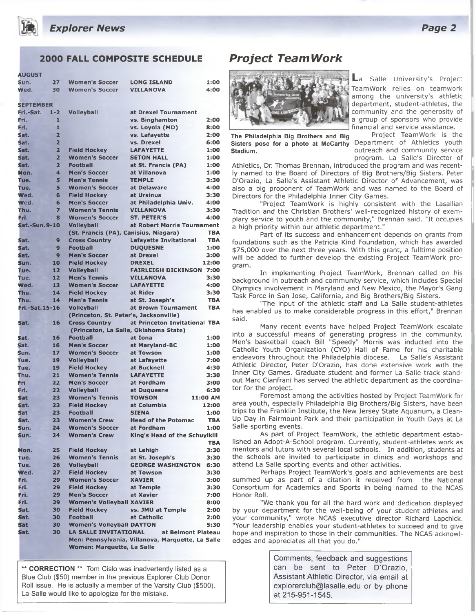

## **2000 FALL COMPOSITE SCHEDULE**

| <b>AUGUST</b>        |                         |                                        |                                                   |            |
|----------------------|-------------------------|----------------------------------------|---------------------------------------------------|------------|
| Sun.                 | 27                      | <b>Women's Soccer</b>                  | <b>LONG ISLAND</b>                                | 1:00       |
| Wed.                 | 30                      | <b>Women's Soccer</b>                  | <b>VILLANOVA</b>                                  | 4:00       |
| <b>SEPTEMBER</b>     |                         |                                        |                                                   |            |
| Fri.-Sat.            | $1 - 2$                 | <b>Volleyball</b>                      | at Drexel Tournament                              |            |
| Fri.                 | 1                       |                                        | vs. Binghamton                                    | 2:00       |
| Fri.                 | 1                       |                                        | vs. Loyola (MD)                                   | 8:00       |
| Sat.                 | $\overline{2}$          |                                        | vs. Lafayette                                     | 2:00       |
| Sat.                 | $\overline{2}$          |                                        | vs. Drexel                                        | 6:00       |
| Sat.                 | $\overline{\mathbf{z}}$ | <b>Field Hockey</b>                    | <b>LAFAYETTE</b>                                  | 1:00       |
| Sat.                 | $\overline{2}$          | <b>Women's Soccer</b>                  | <b>SETON HALL</b>                                 | 1:00       |
| Sat.                 | $\overline{2}$          | <b>Football</b>                        | at St. Francis (PA)                               | 1:00       |
| Mon.                 | 4                       | <b>Men's Soccer</b>                    |                                                   | 1:00       |
| Tue.                 | 5                       | <b>Men's Tennis</b>                    | at Villanova<br><b>TEMPLE</b>                     | 3:30       |
|                      |                         |                                        |                                                   |            |
| Tue.                 | 5                       | <b>Women's Soccer</b>                  | at Delaware                                       | 4:00       |
| Wed.                 | 6                       | <b>Field Hockey</b>                    | at Ursinus                                        | 3:30       |
| Wed.                 | 6                       | <b>Men's Soccer</b>                    | at Philadelphia Univ.                             | 4:00       |
| Thu.                 | 7                       | <b>Women's Tennis</b>                  | <b>VILLANOVA</b>                                  | 3:30       |
| Fri.                 | 8                       | <b>Women's Soccer</b>                  | <b>ST. PETER'S</b>                                | 4:00       |
| <b>Sat.-Sun.9-10</b> |                         | <b>Volleyball</b>                      | at Robert Morris Tournament                       |            |
|                      |                         | (St. Francis (PA), Canisius, Niagara)  |                                                   | <b>TBA</b> |
| Sat.                 | 9                       | <b>Cross Country</b>                   | <b>Lafavette Invitational</b>                     | <b>TBA</b> |
| Sat.                 | 9                       | Football                               | <b>DUOUESNE</b>                                   | 1:00       |
| Sat.                 | 9                       | <b>Men's Soccer</b>                    | at Drexel                                         | 3:00       |
| Sun.                 | 10                      | <b>Field Hockey</b>                    | <b>DREXEL</b>                                     | 12:00      |
| Tue.                 | 12                      | <b>Volleyball</b>                      | <b>FAIRLEIGH DICKINSON 7:00</b>                   |            |
| Tue.                 | 12                      | <b>Men's Tennis</b>                    | <b>VILLANOVA</b>                                  | 3:30       |
| Wed.                 | 13                      | <b>Women's Soccer</b>                  | <b>LAFAYETTE</b>                                  | 4:00       |
| Thu.                 | 14                      | <b>Field Hockey</b>                    | at Rider                                          | 3:30       |
| Thu.                 | 14                      | <b>Men's Tennis</b>                    | at St. Joseph's                                   | <b>TBA</b> |
| Fri.-Sat.15-16       |                         | <b>Volleyball</b>                      | at Brown Tournament                               | <b>TBA</b> |
|                      |                         | (Princeton, St. Peter's, Jacksonville) |                                                   |            |
| Sat.                 | 16                      |                                        | at Princeton Invitational TBA                     |            |
|                      |                         | <b>Cross Country</b>                   |                                                   |            |
|                      |                         |                                        | (Princeton, La Salle, Oklahoma State)             |            |
| Sat.                 | 16                      | <b>Football</b>                        | at Iona                                           | 1:00       |
| Sat.                 | 16                      | <b>Men's Soccer</b>                    | at Maryland-BC                                    | 1:00       |
| Sun.                 | 17                      | <b>Women's Soccer</b>                  | at Towson                                         | 1:00       |
| Tue.                 | 19                      | <b>Volleyball</b>                      | at Lafayette                                      | 7:00       |
| Tue.                 | 19                      | <b>Field Hockey</b>                    | at Bucknell                                       | 4:30       |
| Thu.                 | 21                      | <b>Women's Tennis</b>                  | <b>LAFAYETTE</b>                                  | 3:30       |
| Fri                  | 22                      | <b>Men's Soccer</b>                    | at Fordham                                        | 3:00       |
| Fri.                 | 22                      | <b>Volleyball</b>                      | at Duquesne                                       | 6:30       |
| <b>Sat</b>           | 23                      | <b>Women's Tennis</b>                  | <b>TOWSON</b>                                     | 11:00 AM   |
| Sat.                 | 23                      | <b>Field Hockey</b>                    | at Columbia                                       | 12:00      |
| Sat                  | 23                      | <b>Football</b>                        | <b>SIENA</b>                                      | 1:00       |
| Sat.                 | 23                      | <b>Women's Crew</b>                    | <b>Head of the Potomac</b>                        | TBA        |
| Sun.                 | 24                      | <b>Women's Soccer</b>                  | at Fordham                                        | 1:00       |
| Sun.                 | 24                      | <b>Women's Crew</b>                    | King's Head of the Schuylkill                     |            |
|                      |                         |                                        |                                                   | <b>TBA</b> |
| Mon.                 | 25                      | <b>Field Hockey</b>                    | at Lehigh                                         | 3:30       |
| Tue.                 | 26                      | <b>Women's Tennis</b>                  | at St. Joseph's                                   | 3:30       |
| Tue.                 | 26                      | <b>Volleyball</b>                      | <b>GEORGE WASHINGTON</b>                          | 6:30       |
| Wed.                 | 27                      | <b>Field Hockey</b>                    | at Towson                                         | 3:30       |
| Fri.                 | 29                      | <b>Women's Soccer</b>                  | <b>XAVIER</b>                                     | 3:00       |
| Fri.                 | 29                      | <b>Field Hockey</b>                    | at Temple                                         | 3:30       |
| Fri.                 | 29                      | <b>Men's Soccer</b>                    | at Xavier                                         | 7:00       |
| Fri.                 | 29                      | <b>Women's Volleyball XAVIER</b>       |                                                   | 8:00       |
| Sat.                 | 30                      | <b>Field Hockey</b>                    |                                                   | 2:00       |
|                      |                         | <b>Football</b>                        | vs. JMU at Temple                                 |            |
| Sat.                 | 30                      |                                        | at Catholic                                       | 2:00       |
| <b>Sat</b>           | 30                      | <b>Women's Volleyball DAYTON</b>       |                                                   | 5:30       |
| Sat.                 | 30                      | LA SALLE INVITATIONAL                  | at Belmont Plateau                                |            |
|                      |                         |                                        | Men: Pennsylvania, Villanova, Marquette, La Salle |            |
|                      |                         | Women: Marquette, La Salle             |                                                   |            |

**\*\* CORRECTION** \*\* Tom Cislo was inadvertently listed as a Blue Club (\$50) member in the previous Explorer Club Donor Roll issue. He is actually a member of the Varsity Club (\$500). La Salle would like to apologize for the mistake.

## *P ro ject Team W ork*



**Sisters pose for a photo at McCarthy** Department of Athletics youth **Stadium. Stadium. Stadium. outreach and community service** 

La Salle University's Project TeamWork relies on teamwork among the university's athletic department, student-athletes, the community and the generosity of a group of sponsors who provide financial and service assistance.

**The Philadelphia Big Brothers and Big** Project TeamWork is the program. La Salle's Director of

Athletics, Dr. Thomas Brennan, introduced the program and was recently named to the Board of Directors of Big Brothers/Big Sisters. Peter D'Orazio, La Salle's Assistant Athletic Director of Advancement, was also a big proponent of TeamWork and was named to the Board of Directors for the Philadelphia Inner City Games.

"Project TeamWork is highly consistent with the Lasallian Tradition and the Christian Brothers' well-recognized history of exemplary service to youth and the community," Brennan said. "It occupies a high priority within our athletic department."

Part of its success and enhancement depends on grants from foundations such as the Patricia Kind Foundation, which has awarded \$75,000 over the next three years. With this grant, a fulltime position will be added to further develop the existing Project TeamWork program.

In implementing Project TeamWork, Brennan called on his background in outreach and community service, which includes Special Olympics involvement in Maryland and New Mexico, the Mayor's Gang Task Force in San Jose, California, and Big Brothers/Big Sisters.

"The input of the athletic staff and La Salle student-athletes has enabled us to make considerable progress in this effort," Brennan said.

Many recent events have helped Project TeamWork escalate into a successful means of generating progress in the community. Men's basketball coach Bill "Speedy" Morris was inducted into the Catholic Youth Organization (CYO) Hall of Fame for his charitable endeavors throughout the Philadelphia diocese. La Salle's Assistant Athletic Director, Peter D'Orazio, has done extensive work with the Inner City Games. Graduate student and former La Salle track standout Marc Cianfrani has served the athletic department as the coordinator for the project.

Foremost among the activities hosted by Project TeamWork for area youth, especially Philadelphia Big Brothers/Big Sisters, have been trips to the Franklin Institute, the New Jersey State Aquarium, a Clean-Up Day in Fairmount Park and their participation in Youth Days at La Salle sporting events.

As part of Project TeamWork, the athletic department established an Adopt-A-School program. Currently, student-athletes work as mentors and tutors with several local schools. In addition, students at the schools are invited to participate in clinics and workshops and attend La Salle sporting events and other activities.

Perhaps Project Teamwork's goals and achievements are best summed up as part of a citation it received from the National Consortium for Academics and Sports in being named to the NCAS Honor Roll.

"We thank you for all the hard work and dedication displayed by your department for the well-being of your student-athletes and your community," wrote NCAS executive director Richard Lapchick. "Your leadership enables your student-athletes to succeed and to give hope and inspiration to those in their communities. The NCAS acknowledges and appreciates all that you do."

> Comments, feedback and suggestions can be sent to Peter D'Orazio, Assistant Athletic Director, via email at [explorerclub@lasalle.edu](mailto:explorerclub@lasalle.edu) or by phone at 215-951-1545.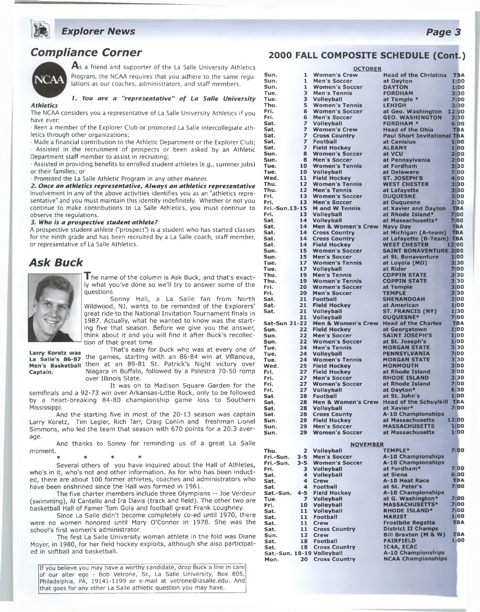

## **Compliance Corner**



As a friend and supporter of the La Salle University Athletics Program, the NCAA requires that you adhere to the same regulations as our coaches, administrators, and staff members.

#### **1.** *You are a "representative" of La Salle University Athletics*

The NCAA considers you a representative of La Salle University Athletics if you have ever:

 $\cdot$  Been a member of the Explorer Club or promoted La Salle intercollegiate athletics through other organizations;

 $\cdot$  Made a financial contribution to the Athletic Department or the Explorer Club; · Assisted in the recruitment of prospects or been asked by an Athletic Department staff member to assist in recruiting;

• Assisted in providing benefits to enrolled student-athletes (e.g., summer jobs) or their families; or

• Promoted the La Salle Athletic Program in any other manner.

*2. Once an athletics representative, Always an athletics representative* Involvement in any of the above activities identifies you as an "athletics representative" and you must maintain this identity indefinitely. Whether or not you continue to make contributions to La Salle Athletics, you must continue to observe the regulations.

#### *3. Who is a prospective student-athlete?*

A prospective student-athlete ("prospect") is a student who has started classes for the ninth grade and has been recruited by a La Salle coach, staff member, or representative of La Salle Athletics.

## *A sk Buck*



I he name of the column is Ask Buck, and that's exactly what you've done so we'll try to answer some of the questions.

Sonny Hall, a La Salle fan from North Wildwood, NJ, wants to be reminded of the Explorers' great ride to the National Invitation Tournament finals in 1987. Actually, what he wanted to know was the starting five that season. Before we give you the answer, think about it and you will find it after Buck's recollection of that great time.

Larry Koretz was That's easy for Buck who was at every one of La Salle's 86-87 the games, starting with an 86-84 win at Villanova, **Men's Basketball** then at an 89-81 St. Patrick's Night victory over **Captain.** Niagara in Buffalo, followed by a Palestra 70-50 romp over Illinois State.

It was on to Madison Square Garden for the semifinals and a 92-73 win over Arkansas-Little Rock, only to be followed by a heart-breaking 84-80 championship game loss to Southern Mississippi.

And the starting five in most of the 20-13 season was captain Larry Koretz, Tim Legler, Rich Tarr, Craig Conlin and freshman Lionel Simmons, who led the team that season with 670 points for a 20.3 average.

And thanks to Sonny for reminding us of a great La Salle moment.

\* \* \* \*

Several others of you have inquired about the Hall of Athletes, who's in it, who's not and other information. As for who has been inducted, there are about 100 former athletes, coaches and administrators who have been enshrined since the Hall was formed in 1961.

The five charter members include three Olympians -- Joe Verdeur (swimming), Al Cantello and Ira Davis (track and field). The other two are basketball Hall of Famer Tom Gola and football great Frank Loughney.

Since La Salle didn't become completely co-ed until 1970, there were no women honored until Mary O'Connor in 1978. She was the school's first women's administrator.

The first La Salle University woman athlete in the fold was Diane Moyer, in 1980, for her field hockey exploits, although she also participated in softball and basketball.

If you believe you may have a worthy candidate, drop Buck a line in care of our alter ego - Bob Vetrone, Sr., La Salle University, Box 805, Philadelphia, PA, 19141-1199 or e-mail at [vetrone@lasalle.edu.](mailto:vetrone@lasalle.edu) And that goes for any other La Salle athletic question you may have.

#### **2000 FALL COMPOSITE SCHEDULE (Cont.)**

| <b>OCTOBER</b>       |              |                                              |                                              |                    |  |  |  |
|----------------------|--------------|----------------------------------------------|----------------------------------------------|--------------------|--|--|--|
| Sun.                 | 1            | <b>Women's Crew</b>                          | <b>Head of the Christina</b>                 | TBA                |  |  |  |
| Sun.                 | 1            | <b>Men's Soccer</b>                          | at Dayton                                    | 1:00               |  |  |  |
| Sun.                 | 1            | <b>Women's Soccer</b>                        | <b>DAYTON</b>                                | 1:00               |  |  |  |
| Tue.                 | з            | <b>Men's Tennis</b>                          | <b>FORDHAM</b>                               | 3:30               |  |  |  |
| Tue.                 | 3            | <b>Volleyball</b>                            | at Temple *                                  | 7:00               |  |  |  |
| Thu.<br>Fri.         | 5            | <b>Women's Tennis</b>                        | <b>LEHIGH</b>                                | 3:30               |  |  |  |
| Fri.                 | 6<br>6       | <b>Women's Soccer</b><br><b>Men's Soccer</b> | at Geo. Washington<br><b>GEO. WASHINGTON</b> | 12:00<br>3:30      |  |  |  |
| Sat.                 | 7            | <b>Volleyball</b>                            | <b>FORDHAM*</b>                              | 6:00               |  |  |  |
| Sat.                 | 7            | <b>Women's Crew</b>                          | <b>Head of the Ohio</b>                      | TBA                |  |  |  |
| Sat.                 | 7            | <b>Cross Country</b>                         | <b>Paul Short Invitational TBA</b>           |                    |  |  |  |
| Sat.                 | 7            | <b>Football</b>                              | at Canisius                                  | 1:00               |  |  |  |
| Sat.                 | 7            | <b>Field Hockey</b>                          | <b>ALBANY</b>                                | 1:00               |  |  |  |
| Sun.                 | 8            | <b>Women's Soccer</b>                        | at VCU                                       | 2:00               |  |  |  |
| Sun.                 | 8            | <b>Men's Soccer</b>                          | at Pennsylvania                              | 2:00               |  |  |  |
| Tue.                 | 10           | <b>Women's Tennis</b>                        | at Fordham                                   | 3:30               |  |  |  |
| Tue.                 | 10           | <b>Volleyball</b>                            | at Delaware                                  | 7:00               |  |  |  |
| Wed.                 | 11           | <b>Field Hockey</b>                          | ST. JOSEPH'S                                 | 4:00               |  |  |  |
| Thu.                 | 12           | <b>Women's Tennis</b>                        | <b>WEST CHESTER</b>                          | 3:30               |  |  |  |
| Thu.                 | 12           | <b>Men's Tennis</b>                          | at Lafayette                                 | 3:30               |  |  |  |
| Fri.<br>Fri.         | 13<br>13     | <b>Women's Soccer</b>                        | <b>DUQUESNE</b>                              | 3:00               |  |  |  |
| Fri.-Sun.13-15       |              | <b>Men's Soccer</b><br><b>M</b> and W Tennis | at Duquesne                                  | 3:30<br><b>TBA</b> |  |  |  |
| Fri.                 | 13           | <b>Volleyball</b>                            | at Xavier and Dayton<br>at Rhode Island*     | 7:00               |  |  |  |
| Sat.                 | 14           | <b>Volleyball</b>                            | at Massachusetts*                            | 7:00               |  |  |  |
| Sat.                 | 14           | <b>Men &amp; Women's Crew</b>                | <b>Navy Day</b>                              | <b>TBA</b>         |  |  |  |
| Sat.                 | 14           | <b>Cross Country</b>                         | at Michigan (A-team)                         | <b>TBA</b>         |  |  |  |
| Sat.                 | 14           | <b>Cross Country</b>                         | at Lafayette (B-Team)                        | <b>TBA</b>         |  |  |  |
| Sat.                 | 14           | <b>Field Hockey</b>                          | <b>WEST CHESTER</b>                          | 12:00              |  |  |  |
| Sun.                 | 15           | <b>Women's Soccer</b>                        | <b>SAINT BONAVENTURE 2:00</b>                |                    |  |  |  |
| Sun.                 | 15           | <b>Men's Soccer</b>                          | at St. Bonaventure                           | 1:00               |  |  |  |
| Tue.                 | 17           | <b>Women's Tennis</b>                        | at Lovola (MD)                               | 3:30               |  |  |  |
| Tue.                 | 17           | <b>Volleyball</b>                            | at Rider                                     | 7:00               |  |  |  |
| Thu.                 | 19           | <b>Men's Tennis</b>                          | <b>COPPIN STATE</b>                          | 3:30               |  |  |  |
| Thu.                 | 19           | <b>Women's Tennis</b>                        | <b>COPPIN STATE</b>                          | 3:30               |  |  |  |
| Fri.<br>Fri.         | 20<br>20     | <b>Women's Soccer</b><br><b>Men's Soccer</b> | at Temple                                    | 3:00<br>3:30       |  |  |  |
| Sat.                 | 21           | Football                                     | <b>TEMPLE</b><br><b>SHENANDOAH</b>           | 2:00               |  |  |  |
| Sat.                 | 21           | <b>Field Hockey</b>                          | at American                                  | 1:00               |  |  |  |
| Sat.                 | 21           | <b>Volleyball</b>                            | ST. FRANCIS (NY)                             | 1:30               |  |  |  |
|                      | 21           | Volleyball                                   | DUQUESNE*                                    | 7:00               |  |  |  |
| <b>Sat-Sun 21-22</b> |              | <b>Men &amp; Women's Crew</b>                | <b>Head of the Charles</b>                   | <b>TBA</b>         |  |  |  |
| Sun.                 | 22           | <b>Field Hockey</b>                          | at Georgetown                                | 1:00               |  |  |  |
| Sun.                 | 22           | <b>Men's Soccer</b>                          | <b>SAINT JOSEPH'S</b>                        | 1:00               |  |  |  |
| Sun.                 | 22           | <b>Women's Soccer</b>                        | at St. Joseph's                              | 1:00               |  |  |  |
| Tue.                 | 24           | <b>Men's Tennis</b>                          | <b>MORGAN STATE</b>                          | 3:30               |  |  |  |
| Tue.                 | 24           | <b>Volleyball</b>                            | PENNSYLVANIA                                 | 7:00               |  |  |  |
| Tue.                 | 24           | <b>Women's Tennis</b>                        | <b>MORGAN STATE</b>                          | 3:30               |  |  |  |
| Wed.                 | 25           | <b>Field Hockey</b>                          | <b>MONMOUTH</b><br>at Rhode Island           | 3:00<br>3:00       |  |  |  |
| Fri.<br>Fri.         | 27<br>27     | <b>Field Hockey</b><br><b>Men's Soccer</b>   | <b>RHODE ISLAND</b>                          | 3:30               |  |  |  |
| Fri.                 | 27           | <b>Women's Soccer</b>                        | at Rhode Island                              | 7:00               |  |  |  |
| Fri.                 | 27           | Volleyball                                   | at Dayton*                                   | 6:30               |  |  |  |
| Sat.                 | 28           | <b>Football</b>                              | at St. John's                                | 1:00               |  |  |  |
| Sat.                 | 28           | Men & Women's Crew Head of the Schuylkill    |                                              | <b>TBA</b>         |  |  |  |
| Sat.                 | 28           | Volleyball                                   | at Xavier*                                   | 7:00               |  |  |  |
| Sat.                 | 28           | <b>Cross County</b>                          | <b>A-10 Championships</b>                    |                    |  |  |  |
| Sun.                 | 29           | <b>Field Hockey</b>                          | at Massachusetts                             | 12:DO              |  |  |  |
| Sun.                 | 29           | <b>Men's Soccer</b>                          | <b>MASSACHUSETTS</b>                         | <b>1:00</b>        |  |  |  |
| Sun.                 | 29           | <b>Women's Soccer</b>                        | at Massachusetts                             | 1:00               |  |  |  |
|                      |              |                                              |                                              |                    |  |  |  |
|                      |              | <b>NOVEMBER</b>                              | <b>TEMPLE*</b>                               | 7:00               |  |  |  |
| Thu.<br>Fri.-Sun.    | 2<br>$3 - 5$ | <b>Volleyball</b><br><b>Men's Soccer</b>     | <b>A-10 Championships</b>                    |                    |  |  |  |
| Fri.-Sun.            | $3 - 5$      | <b>Women's Soccer</b>                        | <b>A-10 Championships</b>                    |                    |  |  |  |
| Fri.                 | 3            | <b>Volleyball</b>                            | at Fordham*                                  | 7:00               |  |  |  |
| Sat.                 | 4            | <b>Volleyball</b>                            | at Siena                                     | 6:00               |  |  |  |
| Sat.                 | 4            | <b>Crew</b>                                  | A-10 Heat Race                               | <b>TBA</b>         |  |  |  |
| Sat.                 | 4            | Football                                     | at St. Peter's                               | 7:00               |  |  |  |
| Sat.-Sun.            | $4 - 5$      | <b>Field Hockey</b>                          | <b>A-10 Championships</b>                    |                    |  |  |  |

**Sat.-Sun. 4-5 Field Hockey A-10 Championships Tue. 7 Volleyball at G. Washington\* 7:00 Fri. 10 Volleyball MASSACHUSETTS\* 7:00 Sat. 11 Volleyball RHODE ISLAND\* 7:00 Sat. 11 Football MARIST 1:00 Sat. 11 Crew Frostbite Regatta TBA Sat. 11 Cross Country District II Champs**<br> **Sun. 12 Crew Bill Braxton (M & ) Sun. 12 Crew Bill Braxton (M & W) TBA**

**Sat.-Sun. 18-19 Volleyball A-10 Championships**<br> **Mon.** 20 Cross Country **NCAA Championships** 

**Mon. 20 Cross Country NCAA Championships**

**Sat. 18 Football FAIRFIELD 1:00**

**Sat. 18 Cross Country Sat.-Sun. 18-19 Volleyball**